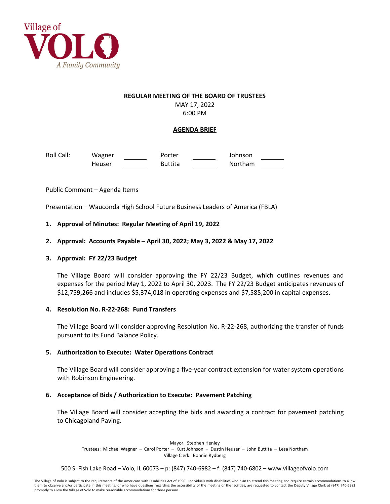

#### **REGULAR MEETING OF THE BOARD OF TRUSTEES**

MAY 17, 2022 6:00 PM

# **AGENDA BRIEF**

Roll Call: Wagner **Porter Coll Call:** Wagner Porter Coll Call: Johnson Heuser **Buttita** Northam

Public Comment – Agenda Items

Presentation – Wauconda High School Future Business Leaders of America (FBLA)

## **1. Approval of Minutes: Regular Meeting of April 19, 2022**

## **2. Approval: Accounts Payable – April 30, 2022; May 3, 2022 & May 17, 2022**

#### **3. Approval: FY 22/23 Budget**

The Village Board will consider approving the FY 22/23 Budget, which outlines revenues and expenses for the period May 1, 2022 to April 30, 2023. The FY 22/23 Budget anticipates revenues of \$12,759,266 and includes \$5,374,018 in operating expenses and \$7,585,200 in capital expenses.

#### **4. Resolution No. R-22-268: Fund Transfers**

The Village Board will consider approving Resolution No. R-22-268, authorizing the transfer of funds pursuant to its Fund Balance Policy.

#### **5. Authorization to Execute: Water Operations Contract**

The Village Board will consider approving a five-year contract extension for water system operations with Robinson Engineering.

#### **6. Acceptance of Bids / Authorization to Execute: Pavement Patching**

The Village Board will consider accepting the bids and awarding a contract for pavement patching to Chicagoland Paving.

Mayor: Stephen Henley Trustees: Michael Wagner – Carol Porter – Kurt Johnson – Dustin Heuser – John Buttita – Lesa Northam Village Clerk: Bonnie Rydberg

500 S. Fish Lake Road – Volo, IL 60073 – p: (847) 740-6982 – f: (847) 740-6802 – www.villageofvolo.com